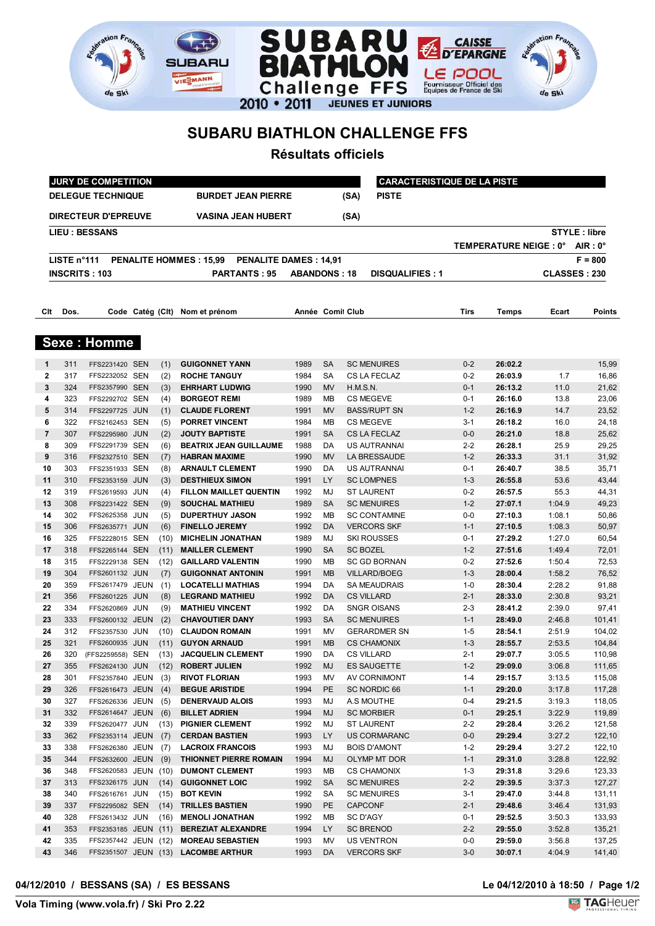



## **SUBARU BIATHLON CHALLENGE FFS**

**SUBARU** 

<u>ent</u>

VIESMANN

de Ski

**Résultats officiels**

| JURY DE COMPETITION                                   |             |                                  |  |            |                                                                |                     |           | <b>CARACTERISTIQUE DE LA PISTE</b> |                                         |                    |                       |                  |                     |
|-------------------------------------------------------|-------------|----------------------------------|--|------------|----------------------------------------------------------------|---------------------|-----------|------------------------------------|-----------------------------------------|--------------------|-----------------------|------------------|---------------------|
| <b>DELEGUE TECHNIQUE</b><br><b>BURDET JEAN PIERRE</b> |             |                                  |  |            |                                                                |                     |           | (SA)                               | <b>PISTE</b>                            |                    |                       |                  |                     |
|                                                       |             | <b>DIRECTEUR D'EPREUVE</b>       |  |            | <b>VASINA JEAN HUBERT</b>                                      |                     |           | (SA)                               |                                         |                    |                       |                  |                     |
|                                                       |             | <b>LIEU : BESSANS</b>            |  |            |                                                                |                     |           |                                    |                                         |                    |                       |                  | <b>STYLE: libre</b> |
|                                                       |             |                                  |  |            |                                                                |                     |           |                                    |                                         |                    | TEMPERATURE NEIGE: 0° |                  | $AIR: 0^{\circ}$    |
|                                                       | LISTE n°111 |                                  |  |            | <b>PENALITE HOMMES: 15,99</b><br><b>PENALITE DAMES : 14,91</b> |                     |           |                                    |                                         |                    |                       |                  | $F = 800$           |
|                                                       |             | <b>INSCRITS: 103</b>             |  |            | <b>PARTANTS: 95</b>                                            | <b>ABANDONS: 18</b> |           |                                    | <b>DISQUALIFIES: 1</b>                  |                    |                       |                  | CLASSES: 230        |
|                                                       |             |                                  |  |            |                                                                |                     |           |                                    |                                         |                    |                       |                  |                     |
|                                                       |             |                                  |  |            |                                                                |                     |           |                                    |                                         |                    |                       |                  |                     |
| Clt                                                   | Dos.        |                                  |  |            | Code Catég (Clt) Nom et prénom                                 | Année Comil Club    |           |                                    |                                         | <b>Tirs</b>        | Temps                 | Ecart            | Points              |
|                                                       |             | <b>Sexe: Homme</b>               |  |            |                                                                |                     |           |                                    |                                         |                    |                       |                  |                     |
| $\mathbf 1$                                           | 311         | FFS2231420 SEN                   |  | (1)        | <b>GUIGONNET YANN</b>                                          | 1989                | <b>SA</b> |                                    | <b>SC MENUIRES</b>                      | $0 - 2$            | 26:02.2               |                  | 15,99               |
| 2                                                     | 317         | FFS2232052 SEN                   |  | (2)        | <b>ROCHE TANGUY</b>                                            | 1984                | <b>SA</b> |                                    | CS LA FECLAZ                            | $0 - 2$            | 26:03.9               | 1.7              | 16,86               |
| 3                                                     | 324         | FFS2357990 SEN                   |  | (3)        | <b>EHRHART LUDWIG</b>                                          | 1990                | <b>MV</b> | H.M.S.N.                           |                                         | $0 - 1$            | 26:13.2               | 11.0             | 21,62               |
| 4                                                     | 323         | FFS2292702 SEN                   |  | (4)        | <b>BORGEOT REMI</b>                                            | 1989                | МB        |                                    | <b>CS MEGEVE</b>                        | 0-1                | 26:16.0               | 13.8             | 23,06               |
| 5                                                     | 314         | FFS2297725 JUN                   |  | (1)        | <b>CLAUDE FLORENT</b>                                          | 1991                | <b>MV</b> |                                    | <b>BASS/RUPT SN</b>                     | $1 - 2$            | 26:16.9               | 14.7             | 23,52               |
| 6                                                     | 322         | FFS2162453 SEN                   |  | (5)        | <b>PORRET VINCENT</b>                                          | 1984                | МB        |                                    | <b>CS MEGEVE</b>                        | $3 - 1$            | 26:18.2               | 16.0             | 24,18               |
| 7                                                     | 307         | FFS2295980 JUN                   |  | (2)        | <b>JOUTY BAPTISTE</b>                                          | 1991                | <b>SA</b> |                                    | CS LA FECLAZ                            | $0-0$              | 26:21.0               | 18.8             | 25,62               |
| 8                                                     | 309         | FFS2291739 SEN                   |  | (6)        | <b>BEATRIX JEAN GUILLAUME</b>                                  | 1988                | DA        |                                    | US AUTRANNAI                            | $2 - 2$            | 26:28.1               | 25.9             | 29,25               |
| 9                                                     | 316         | FFS2327510 SEN                   |  | (7)        | <b>HABRAN MAXIME</b>                                           | 1990                | <b>MV</b> |                                    | LA BRESSAUDE                            | $1 - 2$            | 26:33.3               | 31.1             | 31,92               |
| 10                                                    | 303         | FFS2351933 SEN                   |  | (8)        | <b>ARNAULT CLEMENT</b>                                         | 1990                | DA        |                                    | US AUTRANNAI                            | 0-1                | 26:40.7               | 38.5             | 35,71               |
| 11                                                    | 310         | FFS2353159 JUN                   |  | (3)        | <b>DESTHIEUX SIMON</b>                                         | 1991                | LY        |                                    | <b>SC LOMPNES</b>                       | $1 - 3$            | 26:55.8               | 53.6             | 43,44               |
| 12                                                    | 319         | FFS2619593 JUN                   |  | (4)        | <b>FILLON MAILLET QUENTIN</b>                                  | 1992                | MJ        |                                    | <b>ST LAURENT</b>                       | $0 - 2$            | 26:57.5               | 55.3             | 44,31               |
| 13                                                    | 308         | FFS2231422 SEN                   |  | (9)        | <b>SOUCHAL MATHIEU</b>                                         | 1989                | <b>SA</b> |                                    | <b>SC MENUIRES</b>                      | $1 - 2$            | 27:07.1               | 1:04.9           | 49,23               |
| 14                                                    | 302         | FFS2625358 JUN                   |  | (5)        | <b>DUPERTHUY JASON</b>                                         | 1992                | МB        |                                    | <b>SC CONTAMINE</b>                     | $0-0$              | 27:10.3               | 1:08.1           | 50,86               |
| 15                                                    | 306         | FFS2635771 JUN                   |  | (6)        | <b>FINELLO JEREMY</b>                                          | 1992                | DA        |                                    | <b>VERCORS SKF</b>                      | $1 - 1$            | 27:10.5               | 1:08.3           | 50,97               |
| 16                                                    | 325         | FFS2228015 SEN                   |  | (10)       | <b>MICHELIN JONATHAN</b>                                       | 1989                | MJ        |                                    | <b>SKI ROUSSES</b>                      | 0-1                | 27:29.2               | 1:27.0           | 60,54               |
| 17                                                    | 318         | FFS2265144 SEN                   |  | (11)       | <b>MAILLER CLEMENT</b>                                         | 1990                | <b>SA</b> | <b>SC BOZEL</b>                    |                                         | $1 - 2$            | 27:51.6               | 1:49.4           | 72,01               |
| 18                                                    | 315         | FFS2229138 SEN                   |  | (12)       | <b>GAILLARD VALENTIN</b>                                       | 1990                | МB        |                                    | <b>SC GD BORNAN</b>                     | $0 - 2$            | 27:52.6               | 1:50.4           | 72,53               |
| 19                                                    | 304         | FFS2601132 JUN                   |  | (7)        | <b>GUIGONNAT ANTONIN</b>                                       | 1991                | <b>MB</b> |                                    | <b>VILLARD/BOEG</b>                     | $1 - 3$            | 28:00.4               | 1:58.2           | 76,52               |
| 20                                                    | 359         | FFS2617479 JEUN                  |  | (1)        | <b>LOCATELLI MATHIAS</b>                                       | 1994                | DA        |                                    | <b>SA MEAUDRAIS</b>                     | $1 - 0$            | 28:30.4               | 2:28.2           | 91,88               |
| 21<br>22                                              | 356<br>334  | FFS2601225 JUN<br>FFS2620869 JUN |  | (8)        | <b>LEGRAND MATHIEU</b><br><b>MATHIEU VINCENT</b>               | 1992<br>1992        | DA<br>DA  |                                    | <b>CS VILLARD</b><br><b>SNGR OISANS</b> | $2 - 1$<br>$2 - 3$ | 28:33.0<br>28:41.2    | 2:30.8<br>2:39.0 | 93,21<br>97,41      |
| 23                                                    | 333         | FFS2600132 JEUN                  |  | (9)<br>(2) | <b>CHAVOUTIER DANY</b>                                         | 1993                | <b>SA</b> |                                    | <b>SC MENUIRES</b>                      | $1 - 1$            | 28:49.0               | 2:46.8           | 101,41              |
| 24                                                    | 312         | FFS2357530 JUN                   |  | (10)       | <b>CLAUDON ROMAIN</b>                                          | 1991                | ΜV        |                                    | <b>GERARDMER SN</b>                     | 1-5                | 28:54.1               | 2:51.9           | 104,02              |
| 25                                                    | 321         | FFS2600935 JUN                   |  | (11)       | <b>GUYON ARNAUD</b>                                            | 1991                | <b>MB</b> |                                    | <b>CS CHAMONIX</b>                      | $1 - 3$            | 28:55.7               | 2:53.5           | 104,84              |
| 26                                                    | 320         | (FFS2259558) SEN                 |  | (13)       | <b>JACQUELIN CLEMENT</b>                                       | 1990                | DA        |                                    | <b>CS VILLARD</b>                       | $2 - 1$            | 29:07.7               | 3:05.5           | 110,98              |
| 27                                                    | 355         | FFS2624130 JUN (12)              |  |            | <b>ROBERT JULIEN</b>                                           | 1992                | MJ        |                                    | ES SAUGETTE                             | $1 - 2$            | 29:09.0               | 3:06.8           | 111,65              |
| 28                                                    | 301         | FFS2357840 JEUN (3)              |  |            | <b>RIVOT FLORIAN</b>                                           | 1993                | MV        |                                    | AV CORNIMONT                            | 1-4                | 29:15.7               | 3:13.5           | 115,08              |
| 29                                                    | 326         | FFS2616473 JEUN                  |  | (4)        | <b>BEGUE ARISTIDE</b>                                          | 1994                | <b>PE</b> |                                    | SC NORDIC 66                            | $1 - 1$            | 29:20.0               | 3:17.8           | 117,28              |
| 30                                                    | 327         | FFS2626336 JEUN (5)              |  |            | <b>DENERVAUD ALOIS</b>                                         | 1993                | MJ        |                                    | A.S MOUTHE                              | $0 - 4$            | 29:21.5               | 3:19.3           | 118,05              |
| 31                                                    | 332         | FFS2614647 JEUN                  |  | (6)        | <b>BILLET ADRIEN</b>                                           | 1994                | <b>MJ</b> |                                    | <b>SC MORBIER</b>                       | $0 - 1$            | 29:25.1               | 3:22.9           | 119,89              |
| 32                                                    | 339         | FFS2620477 JUN                   |  | (13)       | <b>PIGNIER CLEMENT</b>                                         | 1992                | MJ        |                                    | <b>ST LAURENT</b>                       | 2-2                | 29:28.4               | 3:26.2           | 121,58              |
| 33                                                    | 362         | FFS2353114 JEUN                  |  | (7)        | <b>CERDAN BASTIEN</b>                                          | 1993                | LY        |                                    | <b>US CORMARANC</b>                     | $0-0$              | 29:29.4               | 3:27.2           | 122,10              |
| 33                                                    | 338         | FFS2626380 JEUN                  |  | (7)        | <b>LACROIX FRANCOIS</b>                                        | 1993                | MJ        |                                    | <b>BOIS D'AMONT</b>                     | $1 - 2$            | 29:29.4               | 3:27.2           | 122,10              |
| 35                                                    | 344         | FFS2632600 JEUN                  |  | (9)        | <b>THIONNET PIERRE ROMAIN</b>                                  | 1994                | MJ        |                                    | OLYMP MT DOR                            | $1 - 1$            | 29:31.0               | 3:28.8           | 122,92              |
| 36                                                    | 348         | FFS2620583 JEUN (10)             |  |            | <b>DUMONT CLEMENT</b>                                          | 1993                | МB        |                                    | <b>CS CHAMONIX</b>                      | 1-3                | 29:31.8               | 3:29.6           | 123,33              |
| 37                                                    | 313         | FFS2326175 JUN                   |  | (14)       | <b>GUIGONNET LOIC</b>                                          | 1992                | SA        |                                    | <b>SC MENUIRES</b>                      | $2 - 2$            | 29:39.5               | 3:37.3           | 127,27              |
| 38                                                    | 340         | FFS2616761 JUN                   |  | (15)       | <b>BOT KEVIN</b>                                               | 1992                | SA        |                                    | <b>SC MENUIRES</b>                      | $3 - 1$            | 29:47.0               | 3:44.8           | 131,11              |
| 39                                                    | 337         | FFS2295082 SEN                   |  |            | (14) TRILLES BASTIEN                                           | 1990                | <b>PE</b> | <b>CAPCONF</b>                     |                                         | $2 - 1$            | 29:48.6               | 3:46.4           | 131,93              |
| 40                                                    | 328         | FFS2613432 JUN                   |  | (16)       | <b>MENOLI JONATHAN</b>                                         | 1992                | МB        | SC D'AGY                           |                                         | 0-1                | 29:52.5               | 3:50.3           | 133,93              |
| 41                                                    | 353         | FFS2353185 JEUN (11)             |  |            | <b>BEREZIAT ALEXANDRE</b>                                      | 1994                | LY.       |                                    | <b>SC BRENOD</b>                        | $2 - 2$            | 29:55.0               | 3:52.8           | 135,21              |
| 42                                                    | 335         | FFS2357442 JEUN (12)             |  |            | <b>MOREAU SEBASTIEN</b>                                        | 1993                | MV        |                                    | US VENTRON                              | 0-0                | 29:59.0               | 3:56.8           | 137,25              |
| 43                                                    | 346         |                                  |  |            | FFS2351507 JEUN (13) LACOMBE ARTHUR                            | 1993                | DA        |                                    | <b>VERCORS SKF</b>                      | $3-0$              | 30:07.1               | 4:04.9           | 141,40              |

## 04/12/2010 / BESSANS (SA) / ES BESSANS

Le 04/12/2010 à 18:50 / Page 1/2<br>**ETAGHELIET**